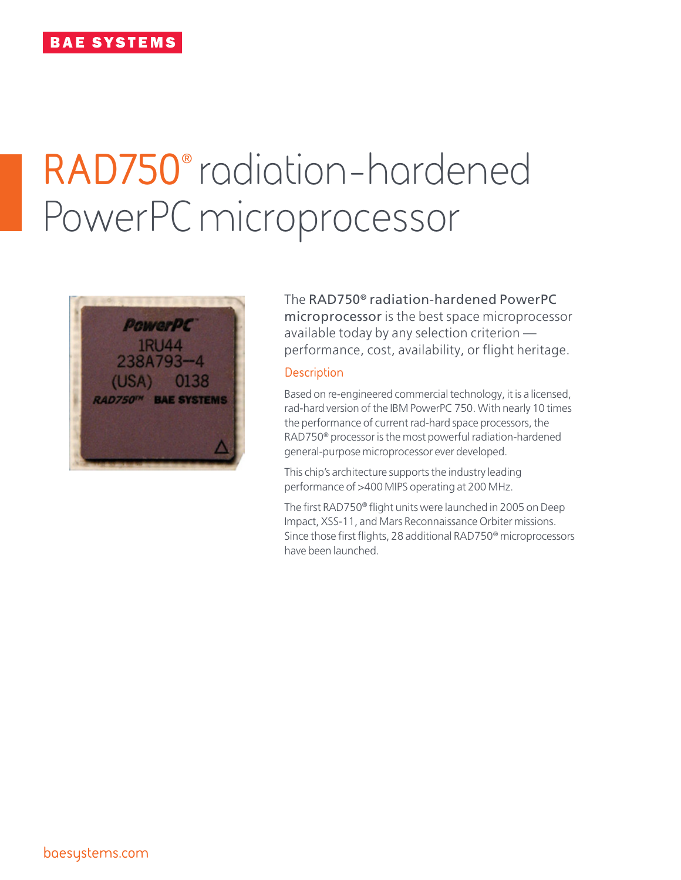# **RAD750**® radiation-hardened PowerPC microprocessor



The RAD750® radiation-hardened PowerPC microprocessor is the best space microprocessor available today by any selection criterion performance, cost, availability, or flight heritage.

## **Description**

Based on re-engineered commercial technology, it is a licensed, rad-hard version of the IBM PowerPC 750. With nearly 10 times the performance of current rad-hard space processors, the RAD750® processor is the most powerful radiation-hardened general-purpose microprocessor ever developed.

This chip's architecture supports the industry leading performance of >400 MIPS operating at 200 MHz.

The first RAD750® flight units were launched in 2005 on Deep Impact, XSS-11, and Mars Reconnaissance Orbiter missions. Since those first flights, 28 additional RAD750® microprocessors have been launched.